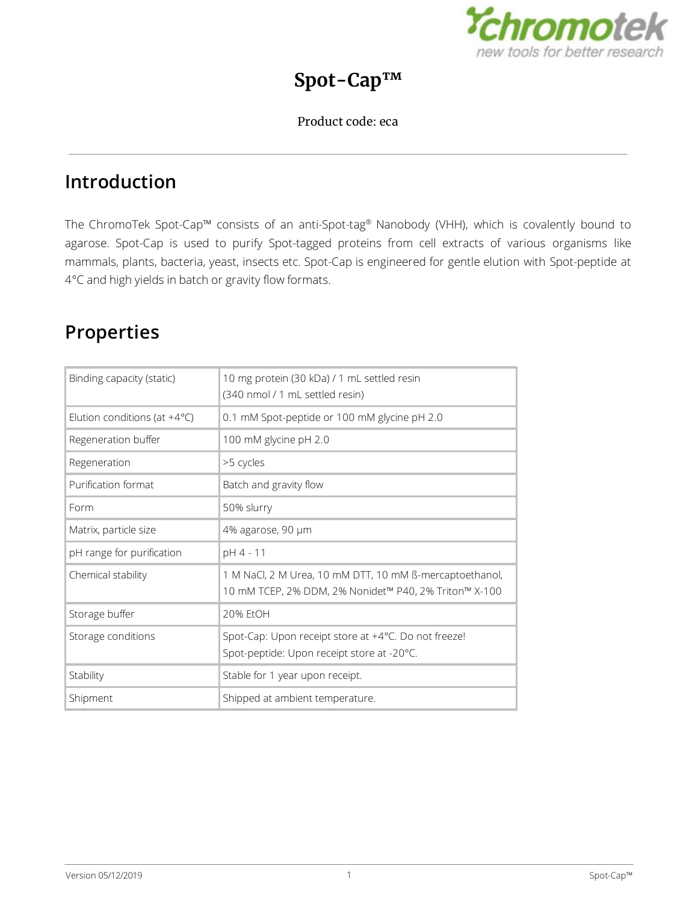

## **Spot-Cap™**

### Product code: eca

## **Introduction**

The ChromoTek Spot-Cap™ consists of an anti-Spot-tag ® Nanobody (VHH), which is covalently bound to agarose. Spot-Cap is used to purify Spot-tagged proteins from cell extracts of various organisms like mammals, plants, bacteria, yeast, insects etc. Spot-Cap is engineered for gentle elution with Spot-peptide at 4°C and high yields in batch or gravity flow formats.

# **Properties**

| Binding capacity (static)              | 10 mg protein (30 kDa) / 1 mL settled resin<br>(340 nmol / 1 mL settled resin)                                   |  |
|----------------------------------------|------------------------------------------------------------------------------------------------------------------|--|
| Elution conditions (at $+4^{\circ}$ C) | 0.1 mM Spot-peptide or 100 mM glycine pH 2.0                                                                     |  |
| Regeneration buffer                    | 100 mM glycine pH 2.0                                                                                            |  |
| Regeneration                           | >5 cycles                                                                                                        |  |
| Purification format                    | Batch and gravity flow                                                                                           |  |
| Form                                   | 50% slurry                                                                                                       |  |
| Matrix, particle size                  | 4% agarose, 90 µm                                                                                                |  |
| pH range for purification              | pH 4 - 11                                                                                                        |  |
| Chemical stability                     | 1 M NaCl, 2 M Urea, 10 mM DTT, 10 mM ß-mercaptoethanol,<br>10 mM TCEP, 2% DDM, 2% Nonidet™ P40, 2% Triton™ X-100 |  |
| Storage buffer                         | 20% EtOH                                                                                                         |  |
| Storage conditions                     | Spot-Cap: Upon receipt store at +4°C. Do not freeze!<br>Spot-peptide: Upon receipt store at -20°C.               |  |
| Stability                              | Stable for 1 year upon receipt.                                                                                  |  |
| Shipment                               | Shipped at ambient temperature.                                                                                  |  |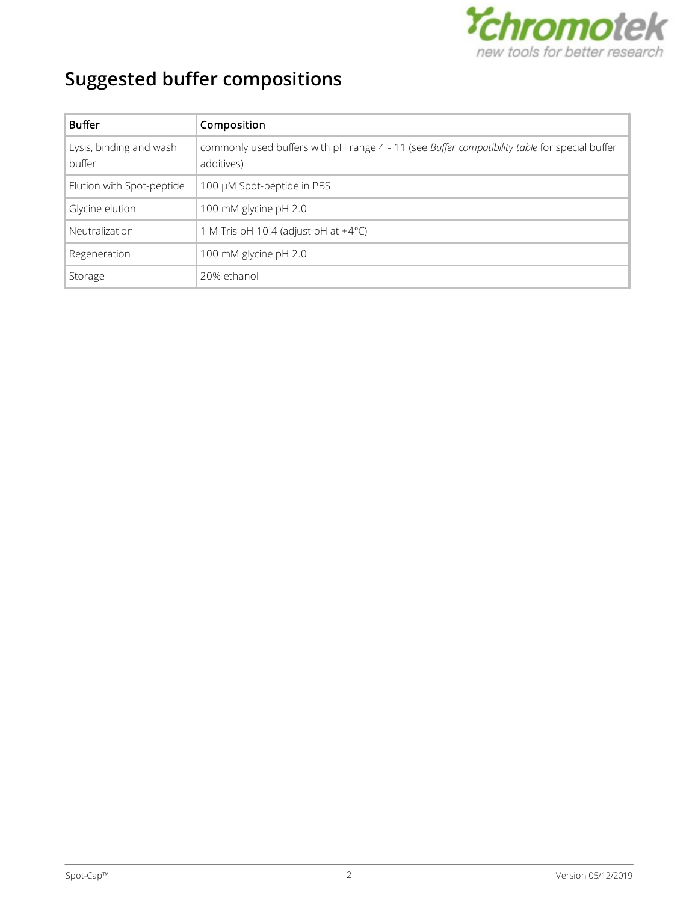

# **Suggested buffer compositions**

| <b>Buffer</b>                     | Composition                                                                                                 |
|-----------------------------------|-------------------------------------------------------------------------------------------------------------|
| Lysis, binding and wash<br>buffer | commonly used buffers with pH range 4 - 11 (see Buffer compatibility table for special buffer<br>additives) |
| Elution with Spot-peptide         | 100 µM Spot-peptide in PBS                                                                                  |
| Glycine elution                   | 100 mM glycine pH 2.0                                                                                       |
| Neutralization                    | 1 M Tris pH 10.4 (adjust pH at $+4^{\circ}$ C)                                                              |
| Regeneration                      | 100 mM glycine pH 2.0                                                                                       |
| Storage                           | 20% ethanol                                                                                                 |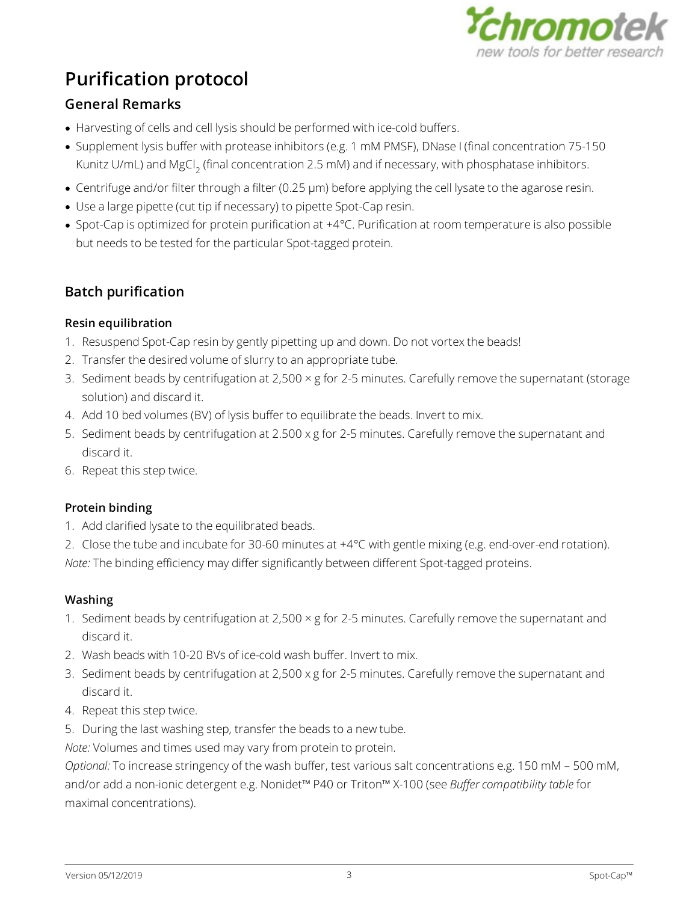

# **Purification protocol**

## **General Remarks**

- · Harvesting of cells and cell lysis should be performed with ice-cold buffers.
- · Supplement lysis buffer with protease inhibitors (e.g. 1 mM PMSF), DNase I (final concentration 75-150 Kunitz U/mL) and MgCl<sub>2</sub> (final concentration 2.5 mM) and if necessary, with phosphatase inhibitors.
- · Centrifuge and/or filter through a filter (0.25 µm) before applying the cell lysate to the agarose resin.
- · Use a large pipette (cut tip if necessary) to pipette Spot-Cap resin.
- · Spot-Cap is optimized for protein purification at +4°C. Purification at room temperature is also possible but needs to be tested for the particular Spot-tagged protein.

## **Batch purification**

### **Resin equilibration**

- 1. Resuspend Spot-Cap resin by gently pipetting up and down. Do not vortex the beads!
- 2. Transfer the desired volume of slurry to an appropriate tube.
- 3. Sediment beads by centrifugation at 2,500 × g for 2-5 minutes. Carefully remove the supernatant (storage solution) and discard it.
- 4. Add 10 bed volumes (BV) of lysis buffer to equilibrate the beads. Invert to mix.
- 5. Sediment beads by centrifugation at 2.500 x g for 2-5 minutes. Carefully remove the supernatant and discard it.
- 6. Repeat this step twice.

### **Protein binding**

- 1. Add clarified lysate to the equilibrated beads.
- 2. Close the tube and incubate for 30-60 minutes at +4°C with gentle mixing (e.g. end-over-end rotation).

*Note:* The binding efficiency may differ significantly between different Spot-tagged proteins.

### **Washing**

- 1. Sediment beads by centrifugation at 2,500  $\times$  g for 2-5 minutes. Carefully remove the supernatant and discard it.
- 2. Wash beads with 10-20 BVs of ice-cold wash buffer. Invert to mix.
- 3. Sediment beads by centrifugation at 2,500 x g for 2-5 minutes. Carefully remove the supernatant and discard it.
- 4. Repeat this step twice.
- 5. During the last washing step, transfer the beads to a new tube.

*Note:* Volumes and times used may vary from protein to protein.

*Optional:* To increase stringency of the wash buffer, test various salt concentrations e.g. 150 mM – 500 mM, and/or add a non-ionic detergent e.g. Nonidet™ P40 or Triton™ X-100 (see *Buffer [compatibility](#page-5-0) table* for maximal concentrations).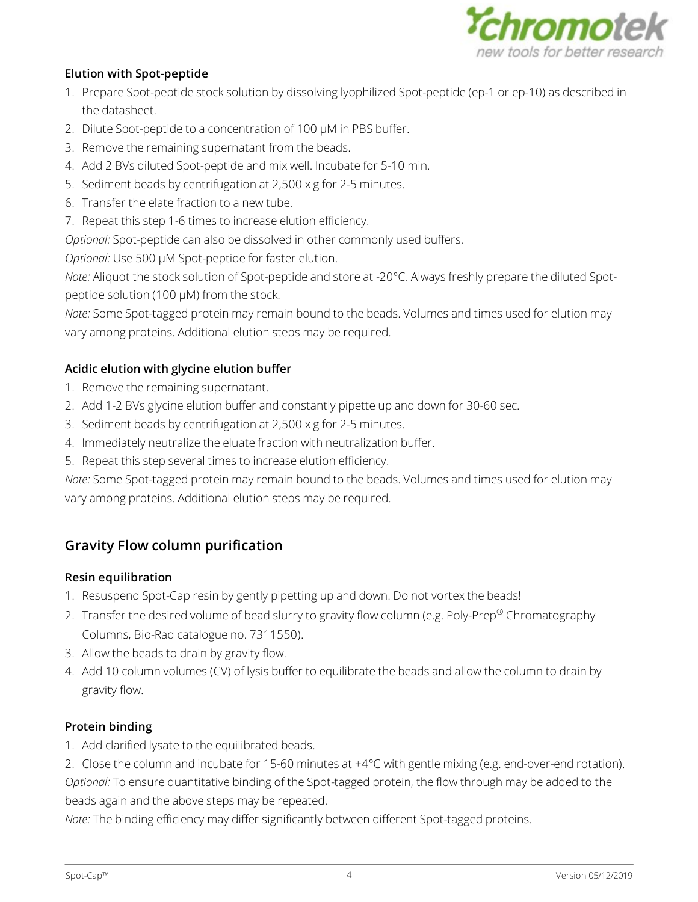

#### **Elution with Spot-peptide**

- 1. Prepare Spot-peptide stock solution by dissolving lyophilized Spot-peptide (ep-1 or ep-10) as described in the datasheet.
- 2. Dilute Spot-peptide to a concentration of 100 µM in PBS buffer.
- 3. Remove the remaining supernatant from the beads.
- 4. Add 2 BVs diluted Spot-peptide and mix well. Incubate for 5-10 min.
- 5. Sediment beads by centrifugation at 2,500 x g for 2-5 minutes.
- 6. Transfer the elate fraction to a new tube.
- 7. Repeat this step 1-6 times to increase elution efficiency.

*Optional:* Spot-peptide can also be dissolved in other commonly used buffers.

*Optional:* Use 500 µM Spot-peptide for faster elution.

*Note:* Aliquot the stock solution of Spot-peptide and store at -20°C. Always freshly prepare the diluted Spotpeptide solution (100 µM) from the stock.

*Note:* Some Spot-tagged protein may remain bound to the beads. Volumes and times used for elution may vary among proteins. Additional elution steps may be required.

### **Acidic elution with glycine elution buffer**

- 1. Remove the remaining supernatant.
- 2. Add 1-2 BVs glycine elution buffer and constantly pipette up and down for 30-60 sec.
- 3. Sediment beads by centrifugation at 2,500 x g for 2-5 minutes.
- 4. Immediately neutralize the eluate fraction with neutralization buffer.
- 5. Repeat this step several times to increase elution efficiency.

*Note:* Some Spot-tagged protein may remain bound to the beads. Volumes and times used for elution may vary among proteins. Additional elution steps may be required.

### **Gravity Flow column purification**

#### **Resin equilibration**

- 1. Resuspend Spot-Cap resin by gently pipetting up and down. Do not vortex the beads!
- 2. Transfer the desired volume of bead slurry to gravity flow column (e.g. Poly-Prep® Chromatography Columns, Bio-Rad catalogue no. 7311550).
- 3. Allow the beads to drain by gravity flow.
- 4. Add 10 column volumes (CV) of lysis buffer to equilibrate the beads and allow the column to drain by gravity flow.

### **Protein binding**

- 1. Add clarified lysate to the equilibrated beads.
- 2. Close the column and incubate for 15-60 minutes at +4°C with gentle mixing (e.g. end-over-end rotation). *Optional:* To ensure quantitative binding of the Spot-tagged protein, the flow through may be added to the beads again and the above steps may be repeated.

*Note:* The binding efficiency may differ significantly between different Spot-tagged proteins.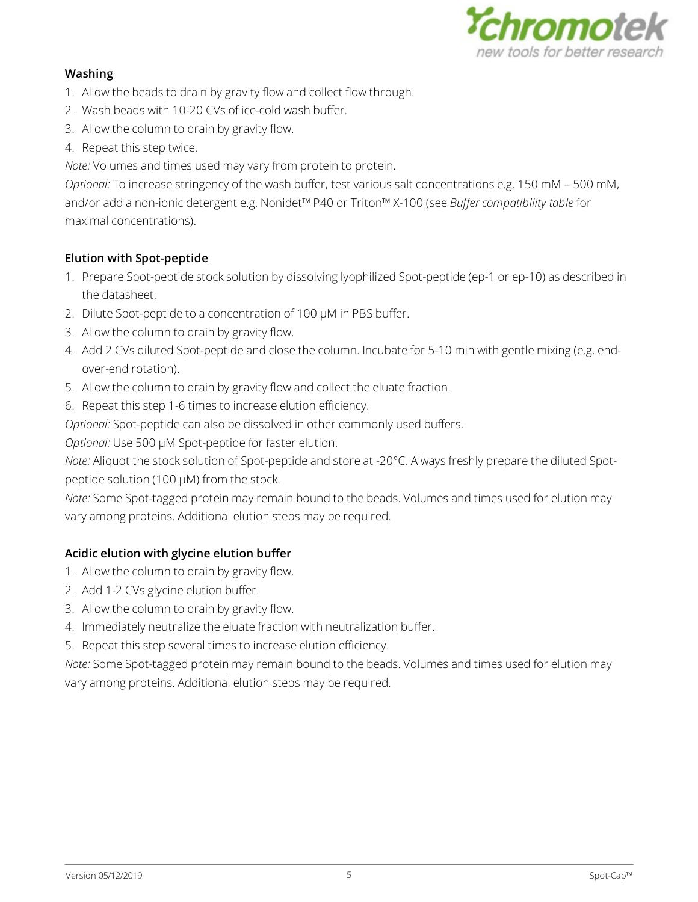

#### **Washing**

- 1. Allow the beads to drain by gravity flow and collect flow through.
- 2. Wash beads with 10-20 CVs of ice-cold wash buffer.
- 3. Allow the column to drain by gravity flow.
- 4. Repeat this step twice.

*Note:* Volumes and times used may vary from protein to protein.

*Optional:* To increase stringency of the wash buffer, test various salt concentrations e.g. 150 mM – 500 mM, and/or add a non-ionic detergent e.g. Nonidet™ P40 or Triton™ X-100 (see *Buffer [compatibility](#page-5-0) table* for maximal concentrations).

### **Elution with Spot-peptide**

- 1. Prepare Spot-peptide stock solution by dissolving lyophilized Spot-peptide (ep-1 or ep-10) as described in the datasheet.
- 2. Dilute Spot-peptide to a concentration of 100 µM in PBS buffer.
- 3. Allow the column to drain by gravity flow.
- 4. Add 2 CVs diluted Spot-peptide and close the column. Incubate for 5-10 min with gentle mixing (e.g. endover-end rotation).
- 5. Allow the column to drain by gravity flow and collect the eluate fraction.
- 6. Repeat this step 1-6 times to increase elution efficiency.

*Optional:* Spot-peptide can also be dissolved in other commonly used buffers.

*Optional:* Use 500 µM Spot-peptide for faster elution.

*Note:* Aliquot the stock solution of Spot-peptide and store at -20°C. Always freshly prepare the diluted Spotpeptide solution (100 µM) from the stock.

*Note:* Some Spot-tagged protein may remain bound to the beads. Volumes and times used for elution may vary among proteins. Additional elution steps may be required.

### **Acidic elution with glycine elution buffer**

- 1. Allow the column to drain by gravity flow.
- 2. Add 1-2 CVs glycine elution buffer.
- 3. Allow the column to drain by gravity flow.
- 4. Immediately neutralize the eluate fraction with neutralization buffer.
- 5. Repeat this step several times to increase elution efficiency.

*Note:* Some Spot-tagged protein may remain bound to the beads. Volumes and times used for elution may vary among proteins. Additional elution steps may be required.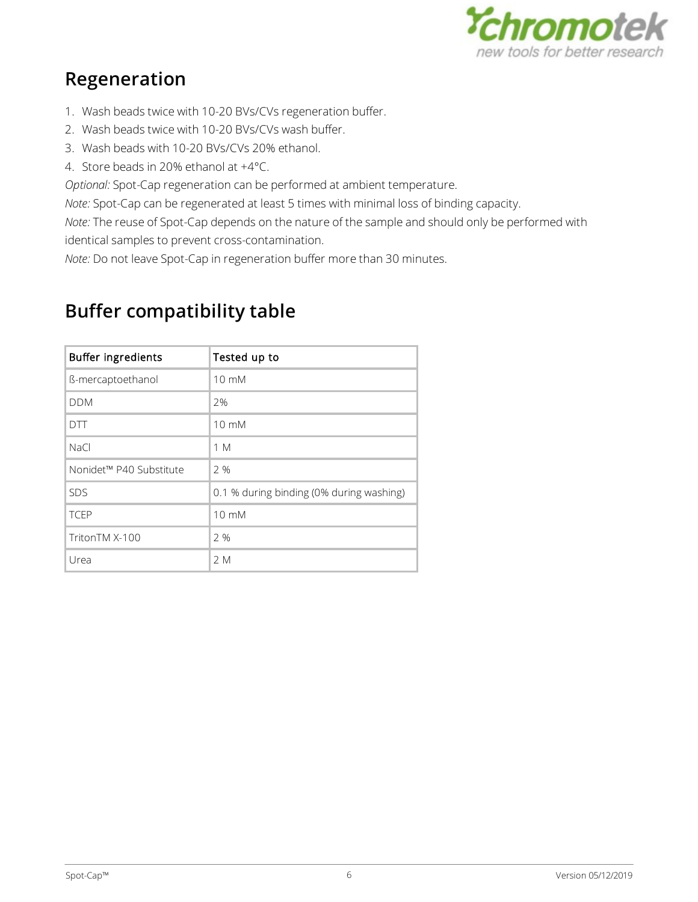

# **Regeneration**

- 1. Wash beads twice with 10-20 BVs/CVs regeneration buffer.
- 2. Wash beads twice with 10-20 BVs/CVs wash buffer.
- 3. Wash beads with 10-20 BVs/CVs 20% ethanol.
- 4. Store beads in 20% ethanol at +4°C.

*Optional:* Spot-Cap regeneration can be performed at ambient temperature.

*Note:* Spot-Cap can be regenerated at least 5 times with minimal loss of binding capacity.

*Note:* The reuse of Spot-Cap depends on the nature of the sample and should only be performed with identical samples to prevent cross-contamination.

*Note:* Do not leave Spot-Cap in regeneration buffer more than 30 minutes.

| Buffer ingredients      | Tested up to                             |
|-------------------------|------------------------------------------|
| ß-mercaptoethanol       | $10 \text{ mM}$                          |
| <b>DDM</b>              | 2%                                       |
| <b>DTT</b>              | $10 \text{ mM}$                          |
| NaCl                    | 1 M                                      |
| Nonidet™ P40 Substitute | 2 %                                      |
| SDS                     | 0.1 % during binding (0% during washing) |
| <b>TCEP</b>             | $10 \text{ mM}$                          |
| TritonTM X-100          | 2%                                       |
| Urea                    | 2 M                                      |

# <span id="page-5-0"></span>**Buffer compatibility table**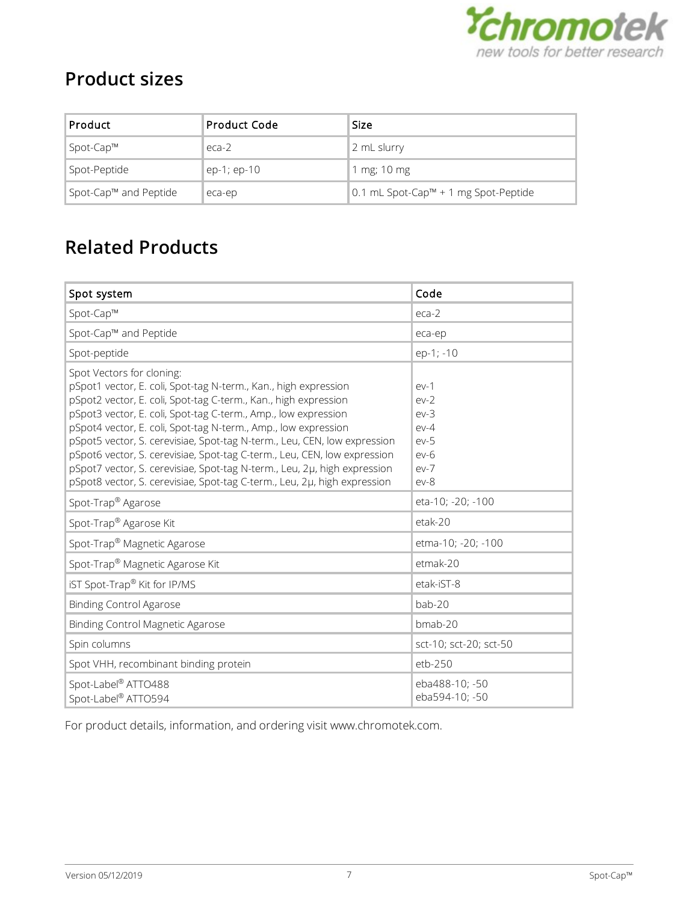

# **Product sizes**

| <b>Product</b>        | Product Code  | <b>Size</b>                          |
|-----------------------|---------------|--------------------------------------|
| Spot-Cap™             | $eca-2$       | 2 mL slurry                          |
| Spot-Peptide          | $ep-1; ep-10$ | 1 mg; 10 mg                          |
| Spot-Cap™ and Peptide | eca-ep        | 0.1 mL Spot-Cap™ + 1 mg Spot-Peptide |

# **Related Products**

| Spot system                                                                                                                                                                                                                                                                                                                                                                                                                                                                                                                                                                                                         | Code                                                                         |
|---------------------------------------------------------------------------------------------------------------------------------------------------------------------------------------------------------------------------------------------------------------------------------------------------------------------------------------------------------------------------------------------------------------------------------------------------------------------------------------------------------------------------------------------------------------------------------------------------------------------|------------------------------------------------------------------------------|
| Spot-Cap™                                                                                                                                                                                                                                                                                                                                                                                                                                                                                                                                                                                                           | $eca-2$                                                                      |
| Spot-Cap™ and Peptide                                                                                                                                                                                                                                                                                                                                                                                                                                                                                                                                                                                               | eca-ep                                                                       |
| Spot-peptide                                                                                                                                                                                                                                                                                                                                                                                                                                                                                                                                                                                                        | ep-1; -10                                                                    |
| Spot Vectors for cloning:<br>pSpot1 vector, E. coli, Spot-tag N-term., Kan., high expression<br>pSpot2 vector, E. coli, Spot-tag C-term., Kan., high expression<br>pSpot3 vector, E. coli, Spot-tag C-term., Amp., low expression<br>pSpot4 vector, E. coli, Spot-tag N-term., Amp., low expression<br>pSpot5 vector, S. cerevisiae, Spot-tag N-term., Leu, CEN, low expression<br>pSpot6 vector, S. cerevisiae, Spot-tag C-term., Leu, CEN, low expression<br>pSpot7 vector, S. cerevisiae, Spot-tag N-term., Leu, 2µ, high expression<br>pSpot8 vector, S. cerevisiae, Spot-tag C-term., Leu, 2µ, high expression | $ev-1$<br>$ev-2$<br>$ev-3$<br>$ev-4$<br>$ev-5$<br>$ev-6$<br>$ev-7$<br>$ev-8$ |
| Spot-Trap <sup>®</sup> Agarose                                                                                                                                                                                                                                                                                                                                                                                                                                                                                                                                                                                      | eta-10; -20; -100                                                            |
| Spot-Trap <sup>®</sup> Agarose Kit                                                                                                                                                                                                                                                                                                                                                                                                                                                                                                                                                                                  | etak-20                                                                      |
| Spot-Trap <sup>®</sup> Magnetic Agarose                                                                                                                                                                                                                                                                                                                                                                                                                                                                                                                                                                             | etma-10; -20; -100                                                           |
| Spot-Trap <sup>®</sup> Magnetic Agarose Kit                                                                                                                                                                                                                                                                                                                                                                                                                                                                                                                                                                         | etmak-20                                                                     |
| iST Spot-Trap® Kit for IP/MS                                                                                                                                                                                                                                                                                                                                                                                                                                                                                                                                                                                        | etak-iST-8                                                                   |
| <b>Binding Control Agarose</b>                                                                                                                                                                                                                                                                                                                                                                                                                                                                                                                                                                                      | bab-20                                                                       |
| Binding Control Magnetic Agarose                                                                                                                                                                                                                                                                                                                                                                                                                                                                                                                                                                                    | bmab-20                                                                      |
| Spin columns                                                                                                                                                                                                                                                                                                                                                                                                                                                                                                                                                                                                        | sct-10; sct-20; sct-50                                                       |
| Spot VHH, recombinant binding protein                                                                                                                                                                                                                                                                                                                                                                                                                                                                                                                                                                               | etb-250                                                                      |
| Spot-Label® ATTO488<br>Spot-Label® ATTO594                                                                                                                                                                                                                                                                                                                                                                                                                                                                                                                                                                          | eba488-10; -50<br>eba594-10; -50                                             |

For product details, information, and ordering visit [www.chromotek.com.](http://www.chromotek.com)